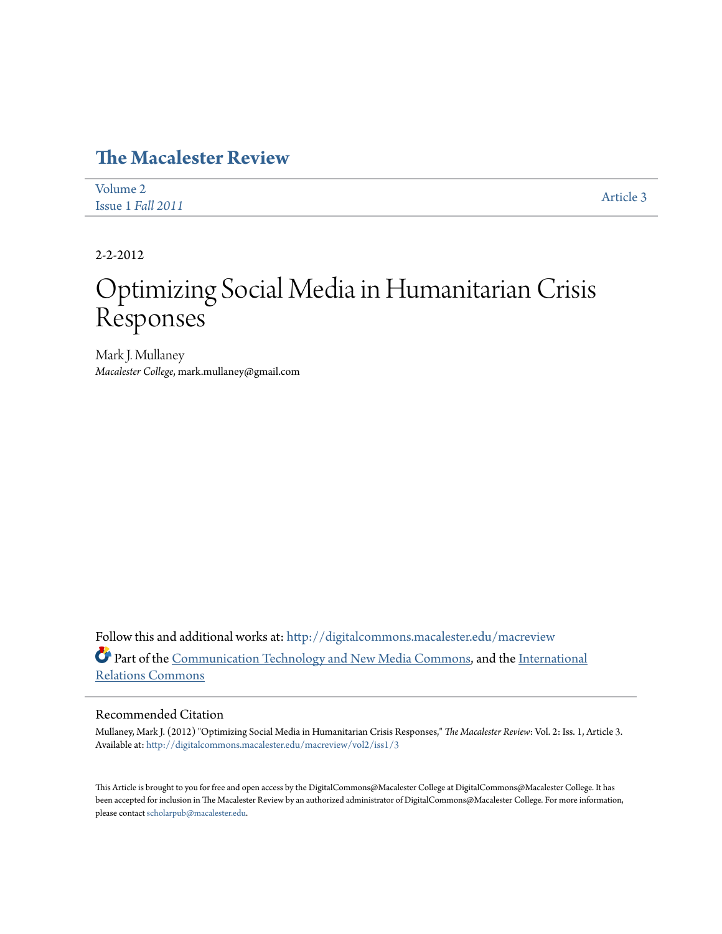## **[The Macalester Review](http://digitalcommons.macalester.edu/macreview?utm_source=digitalcommons.macalester.edu%2Fmacreview%2Fvol2%2Fiss1%2F3&utm_medium=PDF&utm_campaign=PDFCoverPages)**

| Volume 2          | Article 3 |
|-------------------|-----------|
| Issue 1 Fall 2011 |           |

2-2-2012

# Optimizing Social Media in Humanitarian Crisis Responses

Mark J. Mullaney *Macalester College*, mark.mullaney@gmail.com

Follow this and additional works at: [http://digitalcommons.macalester.edu/macreview](http://digitalcommons.macalester.edu/macreview?utm_source=digitalcommons.macalester.edu%2Fmacreview%2Fvol2%2Fiss1%2F3&utm_medium=PDF&utm_campaign=PDFCoverPages) Part of the [Communication Technology and New Media Commons](http://network.bepress.com/hgg/discipline/327?utm_source=digitalcommons.macalester.edu%2Fmacreview%2Fvol2%2Fiss1%2F3&utm_medium=PDF&utm_campaign=PDFCoverPages), and the [International](http://network.bepress.com/hgg/discipline/389?utm_source=digitalcommons.macalester.edu%2Fmacreview%2Fvol2%2Fiss1%2F3&utm_medium=PDF&utm_campaign=PDFCoverPages) [Relations Commons](http://network.bepress.com/hgg/discipline/389?utm_source=digitalcommons.macalester.edu%2Fmacreview%2Fvol2%2Fiss1%2F3&utm_medium=PDF&utm_campaign=PDFCoverPages)

#### Recommended Citation

Mullaney, Mark J. (2012) "Optimizing Social Media in Humanitarian Crisis Responses," *The Macalester Review*: Vol. 2: Iss. 1, Article 3. Available at: [http://digitalcommons.macalester.edu/macreview/vol2/iss1/3](http://digitalcommons.macalester.edu/macreview/vol2/iss1/3?utm_source=digitalcommons.macalester.edu%2Fmacreview%2Fvol2%2Fiss1%2F3&utm_medium=PDF&utm_campaign=PDFCoverPages)

This Article is brought to you for free and open access by the DigitalCommons@Macalester College at DigitalCommons@Macalester College. It has been accepted for inclusion in The Macalester Review by an authorized administrator of DigitalCommons@Macalester College. For more information, please contact [scholarpub@macalester.edu.](mailto:scholarpub@macalester.edu)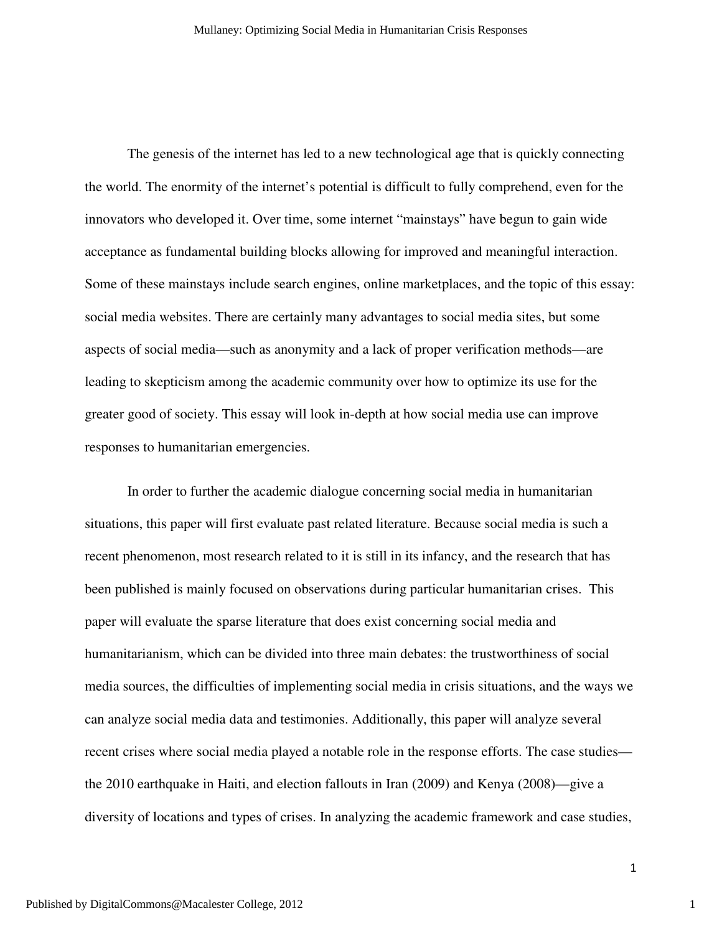The genesis of the internet has led to a new technological age that is quickly connecting the world. The enormity of the internet's potential is difficult to fully comprehend, even for the innovators who developed it. Over time, some internet "mainstays" have begun to gain wide acceptance as fundamental building blocks allowing for improved and meaningful interaction. Some of these mainstays include search engines, online marketplaces, and the topic of this essay: social media websites. There are certainly many advantages to social media sites, but some aspects of social media—such as anonymity and a lack of proper verification methods—are leading to skepticism among the academic community over how to optimize its use for the greater good of society. This essay will look in-depth at how social media use can improve responses to humanitarian emergencies.

 In order to further the academic dialogue concerning social media in humanitarian situations, this paper will first evaluate past related literature. Because social media is such a recent phenomenon, most research related to it is still in its infancy, and the research that has been published is mainly focused on observations during particular humanitarian crises. This paper will evaluate the sparse literature that does exist concerning social media and humanitarianism, which can be divided into three main debates: the trustworthiness of social media sources, the difficulties of implementing social media in crisis situations, and the ways we can analyze social media data and testimonies. Additionally, this paper will analyze several recent crises where social media played a notable role in the response efforts. The case studies the 2010 earthquake in Haiti, and election fallouts in Iran (2009) and Kenya (2008)—give a diversity of locations and types of crises. In analyzing the academic framework and case studies,

1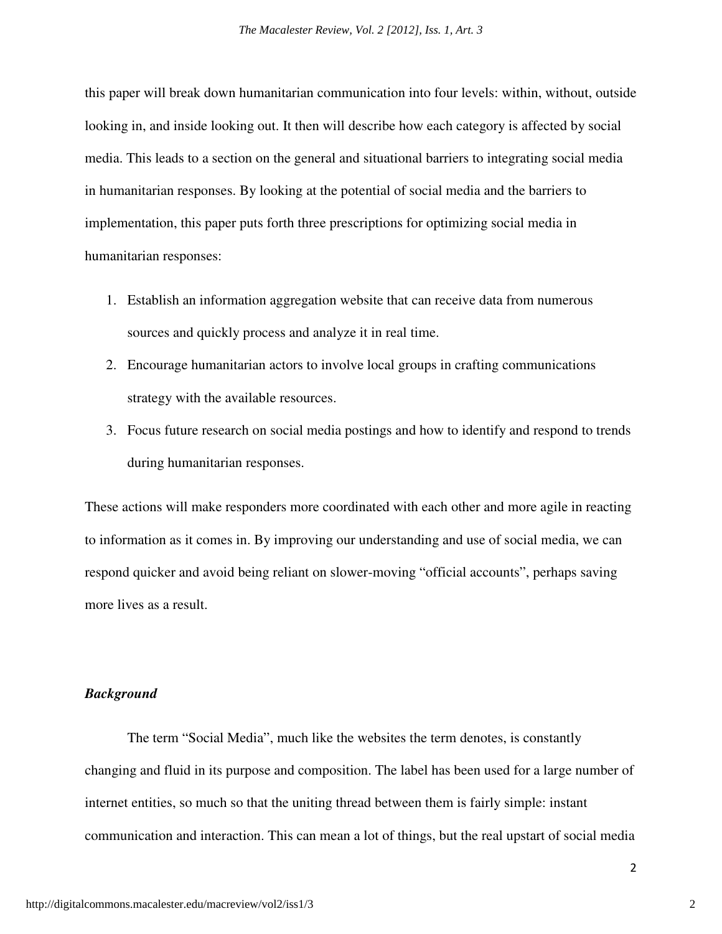this paper will break down humanitarian communication into four levels: within, without, outside looking in, and inside looking out. It then will describe how each category is affected by social media. This leads to a section on the general and situational barriers to integrating social media in humanitarian responses. By looking at the potential of social media and the barriers to implementation, this paper puts forth three prescriptions for optimizing social media in humanitarian responses:

- 1. Establish an information aggregation website that can receive data from numerous sources and quickly process and analyze it in real time.
- 2. Encourage humanitarian actors to involve local groups in crafting communications strategy with the available resources.
- 3. Focus future research on social media postings and how to identify and respond to trends during humanitarian responses.

These actions will make responders more coordinated with each other and more agile in reacting to information as it comes in. By improving our understanding and use of social media, we can respond quicker and avoid being reliant on slower-moving "official accounts", perhaps saving more lives as a result.

#### *Background*

 The term "Social Media", much like the websites the term denotes, is constantly changing and fluid in its purpose and composition. The label has been used for a large number of internet entities, so much so that the uniting thread between them is fairly simple: instant communication and interaction. This can mean a lot of things, but the real upstart of social media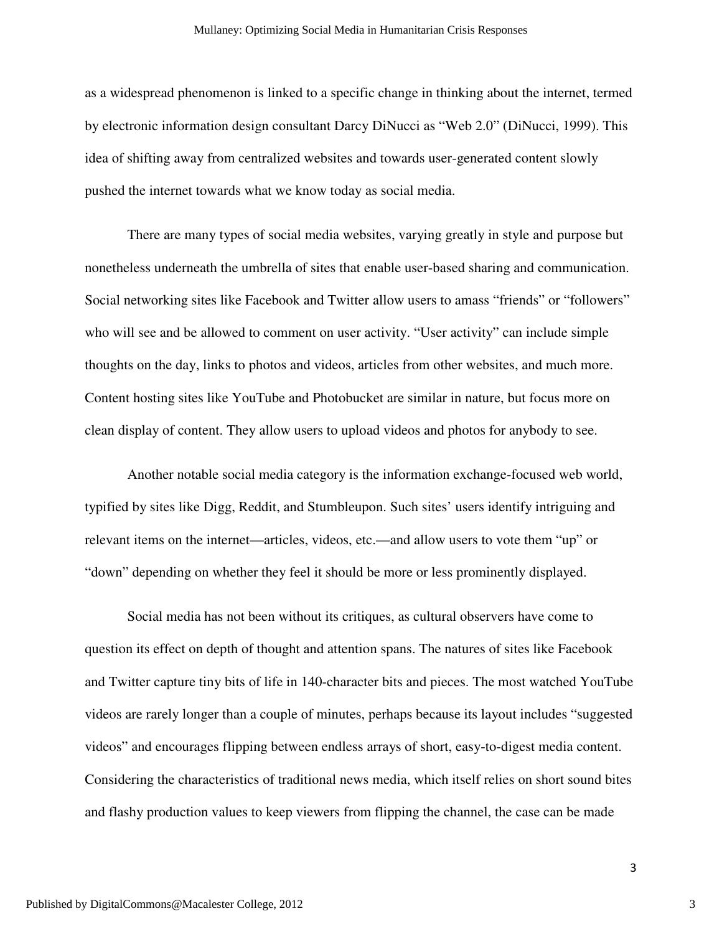as a widespread phenomenon is linked to a specific change in thinking about the internet, termed by electronic information design consultant Darcy DiNucci as "Web 2.0" (DiNucci, 1999). This idea of shifting away from centralized websites and towards user-generated content slowly pushed the internet towards what we know today as social media.

 There are many types of social media websites, varying greatly in style and purpose but nonetheless underneath the umbrella of sites that enable user-based sharing and communication. Social networking sites like Facebook and Twitter allow users to amass "friends" or "followers" who will see and be allowed to comment on user activity. "User activity" can include simple thoughts on the day, links to photos and videos, articles from other websites, and much more. Content hosting sites like YouTube and Photobucket are similar in nature, but focus more on clean display of content. They allow users to upload videos and photos for anybody to see.

Another notable social media category is the information exchange-focused web world, typified by sites like Digg, Reddit, and Stumbleupon. Such sites' users identify intriguing and relevant items on the internet—articles, videos, etc.—and allow users to vote them "up" or "down" depending on whether they feel it should be more or less prominently displayed.

Social media has not been without its critiques, as cultural observers have come to question its effect on depth of thought and attention spans. The natures of sites like Facebook and Twitter capture tiny bits of life in 140-character bits and pieces. The most watched YouTube videos are rarely longer than a couple of minutes, perhaps because its layout includes "suggested videos" and encourages flipping between endless arrays of short, easy-to-digest media content. Considering the characteristics of traditional news media, which itself relies on short sound bites and flashy production values to keep viewers from flipping the channel, the case can be made

3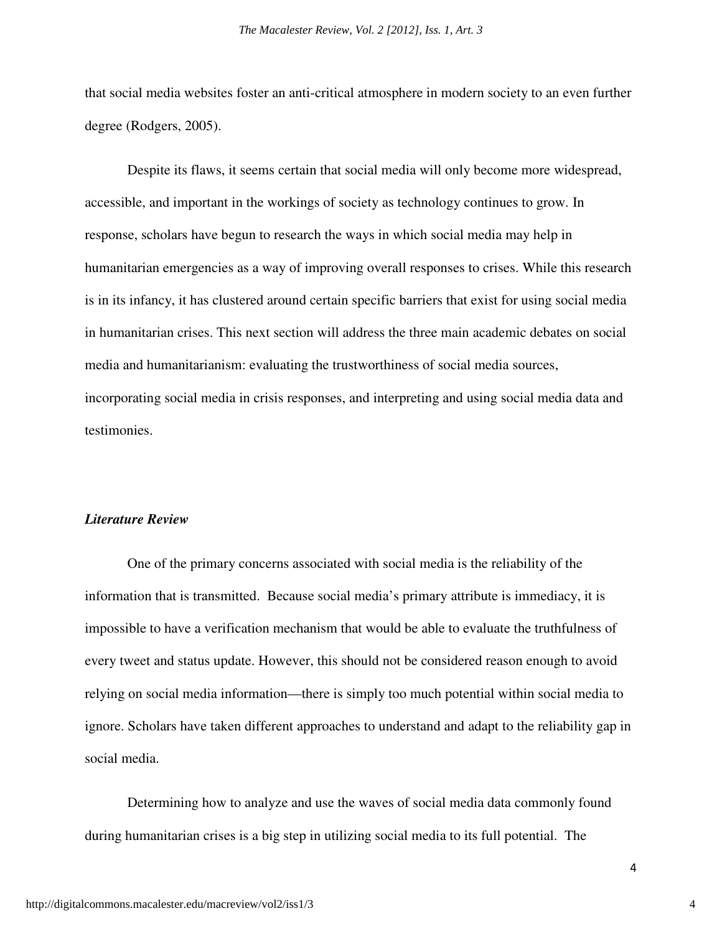that social media websites foster an anti-critical atmosphere in modern society to an even further degree (Rodgers, 2005).

 Despite its flaws, it seems certain that social media will only become more widespread, accessible, and important in the workings of society as technology continues to grow. In response, scholars have begun to research the ways in which social media may help in humanitarian emergencies as a way of improving overall responses to crises. While this research is in its infancy, it has clustered around certain specific barriers that exist for using social media in humanitarian crises. This next section will address the three main academic debates on social media and humanitarianism: evaluating the trustworthiness of social media sources, incorporating social media in crisis responses, and interpreting and using social media data and testimonies.

#### *Literature Review*

 One of the primary concerns associated with social media is the reliability of the information that is transmitted. Because social media's primary attribute is immediacy, it is impossible to have a verification mechanism that would be able to evaluate the truthfulness of every tweet and status update. However, this should not be considered reason enough to avoid relying on social media information—there is simply too much potential within social media to ignore. Scholars have taken different approaches to understand and adapt to the reliability gap in social media.

 Determining how to analyze and use the waves of social media data commonly found during humanitarian crises is a big step in utilizing social media to its full potential. The

4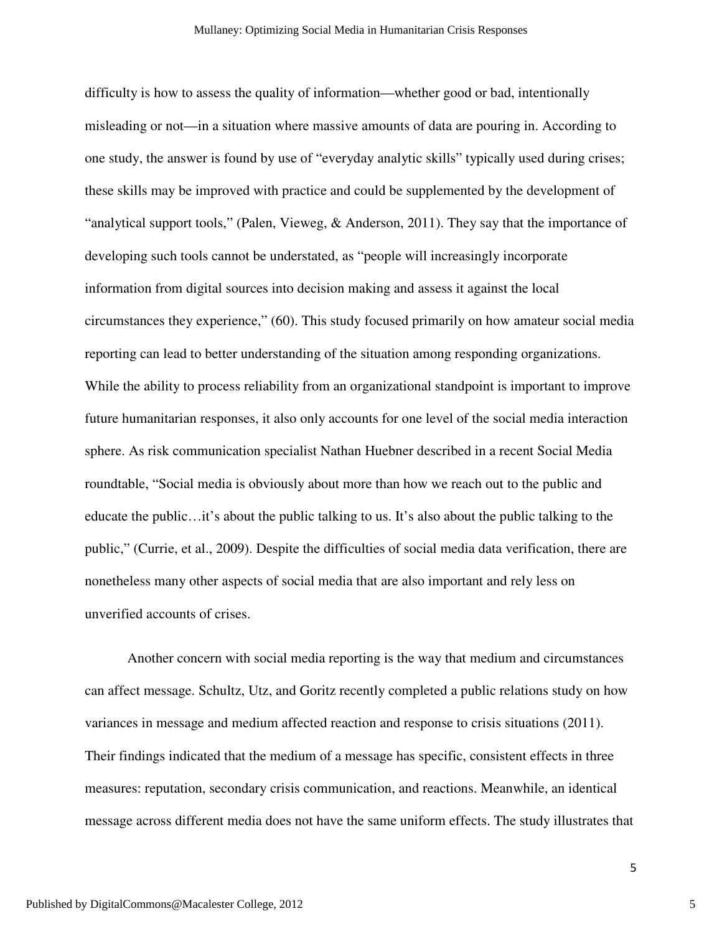difficulty is how to assess the quality of information—whether good or bad, intentionally misleading or not—in a situation where massive amounts of data are pouring in. According to one study, the answer is found by use of "everyday analytic skills" typically used during crises; these skills may be improved with practice and could be supplemented by the development of "analytical support tools," (Palen, Vieweg,  $\&$  Anderson, 2011). They say that the importance of developing such tools cannot be understated, as "people will increasingly incorporate information from digital sources into decision making and assess it against the local circumstances they experience," (60). This study focused primarily on how amateur social media reporting can lead to better understanding of the situation among responding organizations. While the ability to process reliability from an organizational standpoint is important to improve future humanitarian responses, it also only accounts for one level of the social media interaction sphere. As risk communication specialist Nathan Huebner described in a recent Social Media roundtable, "Social media is obviously about more than how we reach out to the public and educate the public…it's about the public talking to us. It's also about the public talking to the public," (Currie, et al., 2009). Despite the difficulties of social media data verification, there are nonetheless many other aspects of social media that are also important and rely less on unverified accounts of crises.

 Another concern with social media reporting is the way that medium and circumstances can affect message. Schultz, Utz, and Goritz recently completed a public relations study on how variances in message and medium affected reaction and response to crisis situations (2011). Their findings indicated that the medium of a message has specific, consistent effects in three measures: reputation, secondary crisis communication, and reactions. Meanwhile, an identical message across different media does not have the same uniform effects. The study illustrates that

5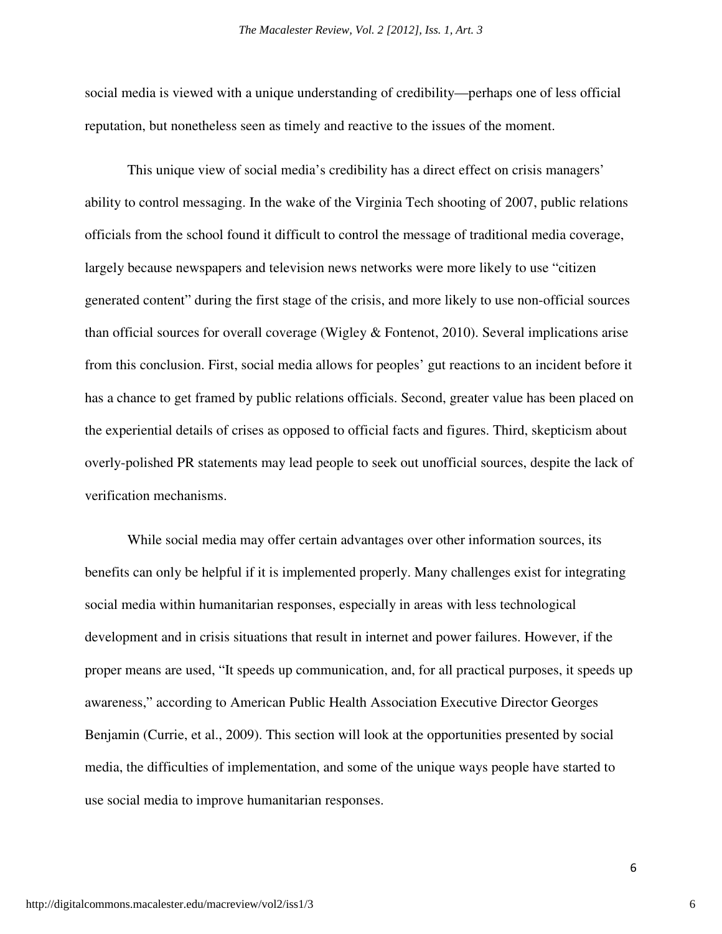social media is viewed with a unique understanding of credibility—perhaps one of less official reputation, but nonetheless seen as timely and reactive to the issues of the moment.

 This unique view of social media's credibility has a direct effect on crisis managers' ability to control messaging. In the wake of the Virginia Tech shooting of 2007, public relations officials from the school found it difficult to control the message of traditional media coverage, largely because newspapers and television news networks were more likely to use "citizen generated content" during the first stage of the crisis, and more likely to use non-official sources than official sources for overall coverage (Wigley & Fontenot, 2010). Several implications arise from this conclusion. First, social media allows for peoples' gut reactions to an incident before it has a chance to get framed by public relations officials. Second, greater value has been placed on the experiential details of crises as opposed to official facts and figures. Third, skepticism about overly-polished PR statements may lead people to seek out unofficial sources, despite the lack of verification mechanisms.

 While social media may offer certain advantages over other information sources, its benefits can only be helpful if it is implemented properly. Many challenges exist for integrating social media within humanitarian responses, especially in areas with less technological development and in crisis situations that result in internet and power failures. However, if the proper means are used, "It speeds up communication, and, for all practical purposes, it speeds up awareness," according to American Public Health Association Executive Director Georges Benjamin (Currie, et al., 2009). This section will look at the opportunities presented by social media, the difficulties of implementation, and some of the unique ways people have started to use social media to improve humanitarian responses.

6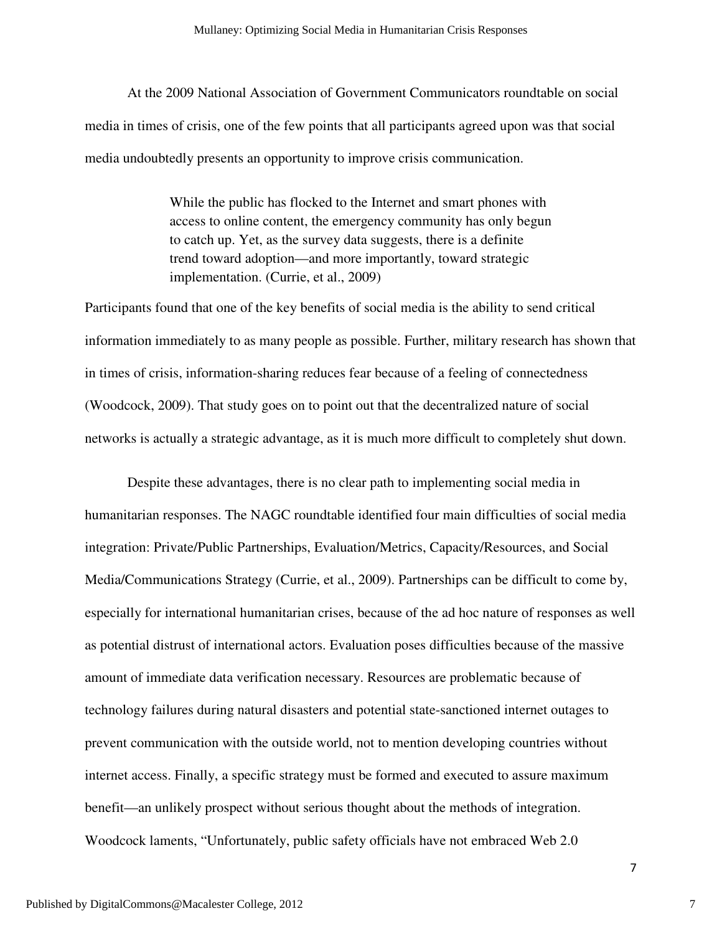At the 2009 National Association of Government Communicators roundtable on social media in times of crisis, one of the few points that all participants agreed upon was that social media undoubtedly presents an opportunity to improve crisis communication.

> While the public has flocked to the Internet and smart phones with access to online content, the emergency community has only begun to catch up. Yet, as the survey data suggests, there is a definite trend toward adoption—and more importantly, toward strategic implementation. (Currie, et al., 2009)

Participants found that one of the key benefits of social media is the ability to send critical information immediately to as many people as possible. Further, military research has shown that in times of crisis, information-sharing reduces fear because of a feeling of connectedness (Woodcock, 2009). That study goes on to point out that the decentralized nature of social networks is actually a strategic advantage, as it is much more difficult to completely shut down.

 Despite these advantages, there is no clear path to implementing social media in humanitarian responses. The NAGC roundtable identified four main difficulties of social media integration: Private/Public Partnerships, Evaluation/Metrics, Capacity/Resources, and Social Media/Communications Strategy (Currie, et al., 2009). Partnerships can be difficult to come by, especially for international humanitarian crises, because of the ad hoc nature of responses as well as potential distrust of international actors. Evaluation poses difficulties because of the massive amount of immediate data verification necessary. Resources are problematic because of technology failures during natural disasters and potential state-sanctioned internet outages to prevent communication with the outside world, not to mention developing countries without internet access. Finally, a specific strategy must be formed and executed to assure maximum benefit—an unlikely prospect without serious thought about the methods of integration. Woodcock laments, "Unfortunately, public safety officials have not embraced Web 2.0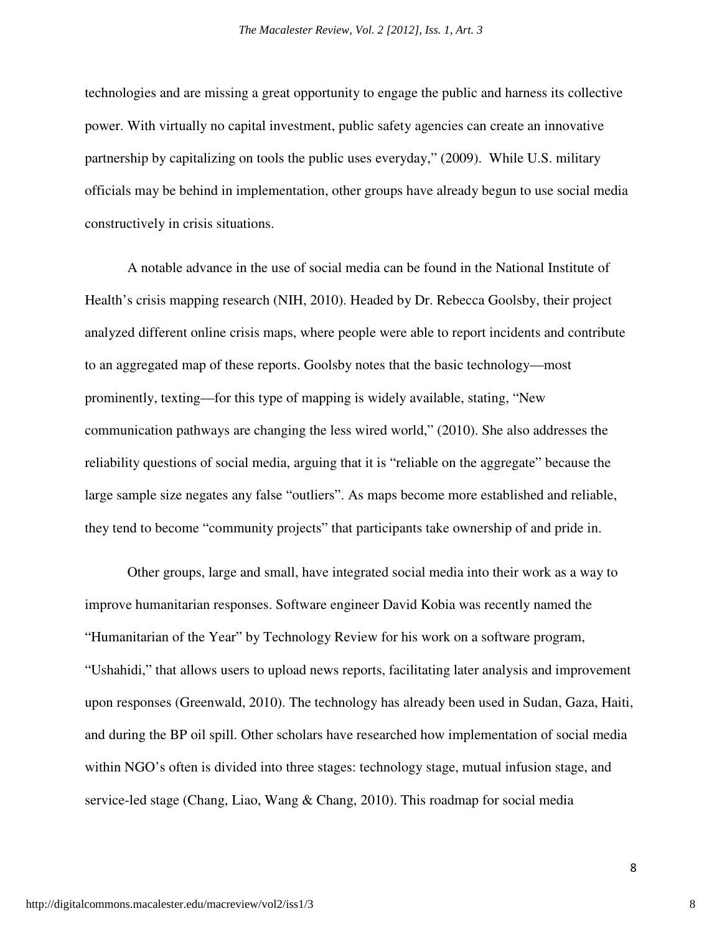technologies and are missing a great opportunity to engage the public and harness its collective power. With virtually no capital investment, public safety agencies can create an innovative partnership by capitalizing on tools the public uses everyday," (2009). While U.S. military officials may be behind in implementation, other groups have already begun to use social media constructively in crisis situations.

 A notable advance in the use of social media can be found in the National Institute of Health's crisis mapping research (NIH, 2010). Headed by Dr. Rebecca Goolsby, their project analyzed different online crisis maps, where people were able to report incidents and contribute to an aggregated map of these reports. Goolsby notes that the basic technology—most prominently, texting—for this type of mapping is widely available, stating, "New communication pathways are changing the less wired world," (2010). She also addresses the reliability questions of social media, arguing that it is "reliable on the aggregate" because the large sample size negates any false "outliers". As maps become more established and reliable, they tend to become "community projects" that participants take ownership of and pride in.

 Other groups, large and small, have integrated social media into their work as a way to improve humanitarian responses. Software engineer David Kobia was recently named the "Humanitarian of the Year" by Technology Review for his work on a software program, "Ushahidi," that allows users to upload news reports, facilitating later analysis and improvement upon responses (Greenwald, 2010). The technology has already been used in Sudan, Gaza, Haiti, and during the BP oil spill. Other scholars have researched how implementation of social media within NGO's often is divided into three stages: technology stage, mutual infusion stage, and service-led stage (Chang, Liao, Wang & Chang, 2010). This roadmap for social media

8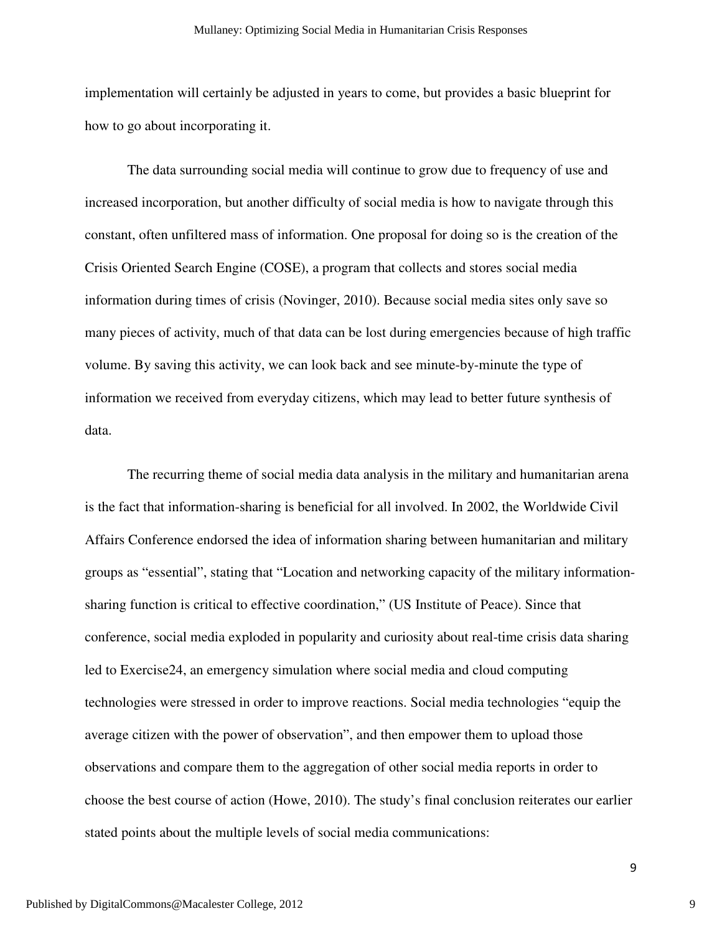implementation will certainly be adjusted in years to come, but provides a basic blueprint for how to go about incorporating it.

 The data surrounding social media will continue to grow due to frequency of use and increased incorporation, but another difficulty of social media is how to navigate through this constant, often unfiltered mass of information. One proposal for doing so is the creation of the Crisis Oriented Search Engine (COSE), a program that collects and stores social media information during times of crisis (Novinger, 2010). Because social media sites only save so many pieces of activity, much of that data can be lost during emergencies because of high traffic volume. By saving this activity, we can look back and see minute-by-minute the type of information we received from everyday citizens, which may lead to better future synthesis of data.

 The recurring theme of social media data analysis in the military and humanitarian arena is the fact that information-sharing is beneficial for all involved. In 2002, the Worldwide Civil Affairs Conference endorsed the idea of information sharing between humanitarian and military groups as "essential", stating that "Location and networking capacity of the military informationsharing function is critical to effective coordination," (US Institute of Peace). Since that conference, social media exploded in popularity and curiosity about real-time crisis data sharing led to Exercise24, an emergency simulation where social media and cloud computing technologies were stressed in order to improve reactions. Social media technologies "equip the average citizen with the power of observation", and then empower them to upload those observations and compare them to the aggregation of other social media reports in order to choose the best course of action (Howe, 2010). The study's final conclusion reiterates our earlier stated points about the multiple levels of social media communications:

9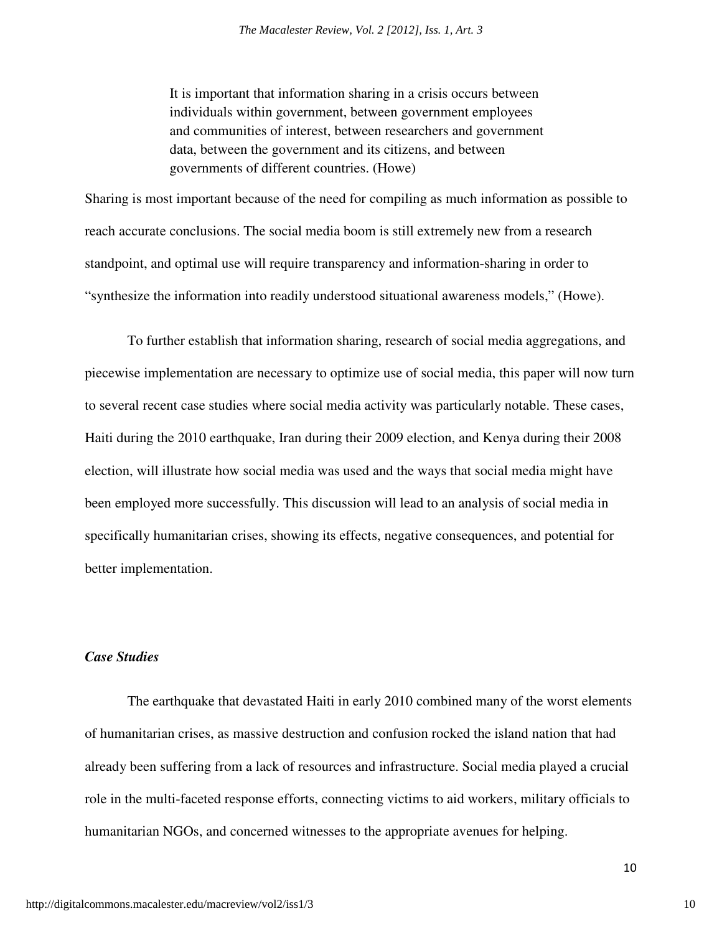It is important that information sharing in a crisis occurs between individuals within government, between government employees and communities of interest, between researchers and government data, between the government and its citizens, and between governments of different countries. (Howe)

Sharing is most important because of the need for compiling as much information as possible to reach accurate conclusions. The social media boom is still extremely new from a research standpoint, and optimal use will require transparency and information-sharing in order to "synthesize the information into readily understood situational awareness models," (Howe).

 To further establish that information sharing, research of social media aggregations, and piecewise implementation are necessary to optimize use of social media, this paper will now turn to several recent case studies where social media activity was particularly notable. These cases, Haiti during the 2010 earthquake, Iran during their 2009 election, and Kenya during their 2008 election, will illustrate how social media was used and the ways that social media might have been employed more successfully. This discussion will lead to an analysis of social media in specifically humanitarian crises, showing its effects, negative consequences, and potential for better implementation.

#### *Case Studies*

 The earthquake that devastated Haiti in early 2010 combined many of the worst elements of humanitarian crises, as massive destruction and confusion rocked the island nation that had already been suffering from a lack of resources and infrastructure. Social media played a crucial role in the multi-faceted response efforts, connecting victims to aid workers, military officials to humanitarian NGOs, and concerned witnesses to the appropriate avenues for helping.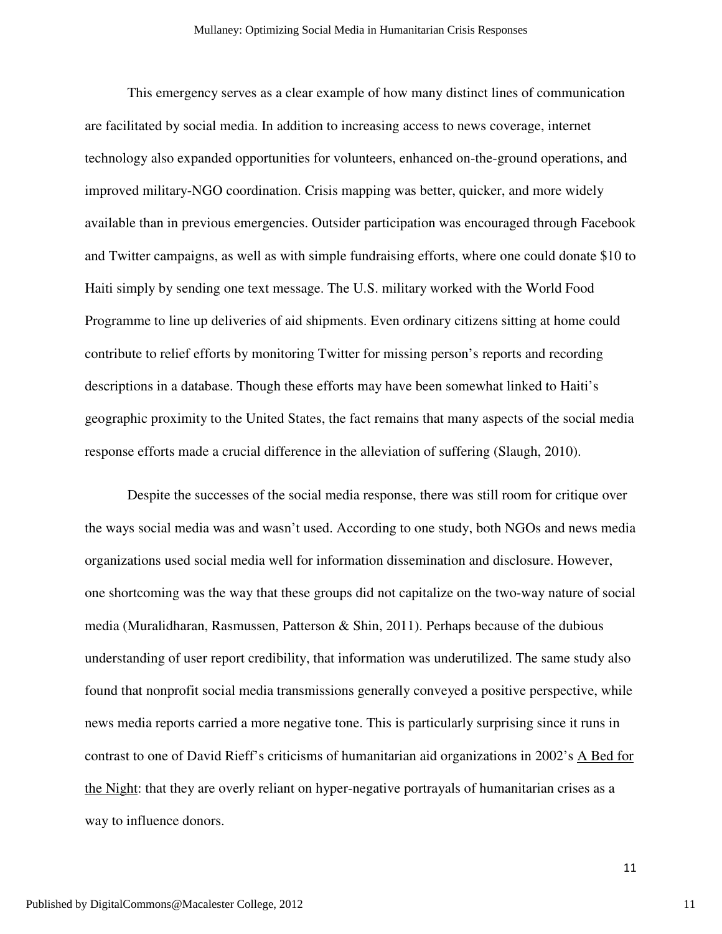This emergency serves as a clear example of how many distinct lines of communication are facilitated by social media. In addition to increasing access to news coverage, internet technology also expanded opportunities for volunteers, enhanced on-the-ground operations, and improved military-NGO coordination. Crisis mapping was better, quicker, and more widely available than in previous emergencies. Outsider participation was encouraged through Facebook and Twitter campaigns, as well as with simple fundraising efforts, where one could donate \$10 to Haiti simply by sending one text message. The U.S. military worked with the World Food Programme to line up deliveries of aid shipments. Even ordinary citizens sitting at home could contribute to relief efforts by monitoring Twitter for missing person's reports and recording descriptions in a database. Though these efforts may have been somewhat linked to Haiti's geographic proximity to the United States, the fact remains that many aspects of the social media response efforts made a crucial difference in the alleviation of suffering (Slaugh, 2010).

 Despite the successes of the social media response, there was still room for critique over the ways social media was and wasn't used. According to one study, both NGOs and news media organizations used social media well for information dissemination and disclosure. However, one shortcoming was the way that these groups did not capitalize on the two-way nature of social media (Muralidharan, Rasmussen, Patterson & Shin, 2011). Perhaps because of the dubious understanding of user report credibility, that information was underutilized. The same study also found that nonprofit social media transmissions generally conveyed a positive perspective, while news media reports carried a more negative tone. This is particularly surprising since it runs in contrast to one of David Rieff's criticisms of humanitarian aid organizations in 2002's A Bed for the Night: that they are overly reliant on hyper-negative portrayals of humanitarian crises as a way to influence donors.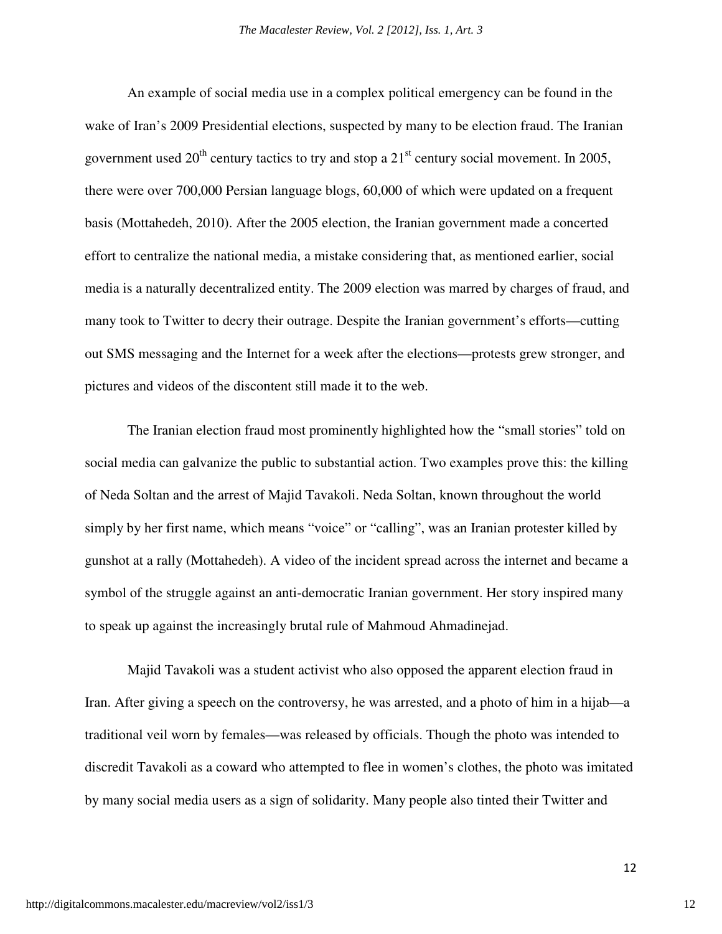An example of social media use in a complex political emergency can be found in the wake of Iran's 2009 Presidential elections, suspected by many to be election fraud. The Iranian government used  $20^{th}$  century tactics to try and stop a  $21^{st}$  century social movement. In 2005, there were over 700,000 Persian language blogs, 60,000 of which were updated on a frequent basis (Mottahedeh, 2010). After the 2005 election, the Iranian government made a concerted effort to centralize the national media, a mistake considering that, as mentioned earlier, social media is a naturally decentralized entity. The 2009 election was marred by charges of fraud, and many took to Twitter to decry their outrage. Despite the Iranian government's efforts—cutting out SMS messaging and the Internet for a week after the elections—protests grew stronger, and pictures and videos of the discontent still made it to the web.

 The Iranian election fraud most prominently highlighted how the "small stories" told on social media can galvanize the public to substantial action. Two examples prove this: the killing of Neda Soltan and the arrest of Majid Tavakoli. Neda Soltan, known throughout the world simply by her first name, which means "voice" or "calling", was an Iranian protester killed by gunshot at a rally (Mottahedeh). A video of the incident spread across the internet and became a symbol of the struggle against an anti-democratic Iranian government. Her story inspired many to speak up against the increasingly brutal rule of Mahmoud Ahmadinejad.

 Majid Tavakoli was a student activist who also opposed the apparent election fraud in Iran. After giving a speech on the controversy, he was arrested, and a photo of him in a hijab—a traditional veil worn by females—was released by officials. Though the photo was intended to discredit Tavakoli as a coward who attempted to flee in women's clothes, the photo was imitated by many social media users as a sign of solidarity. Many people also tinted their Twitter and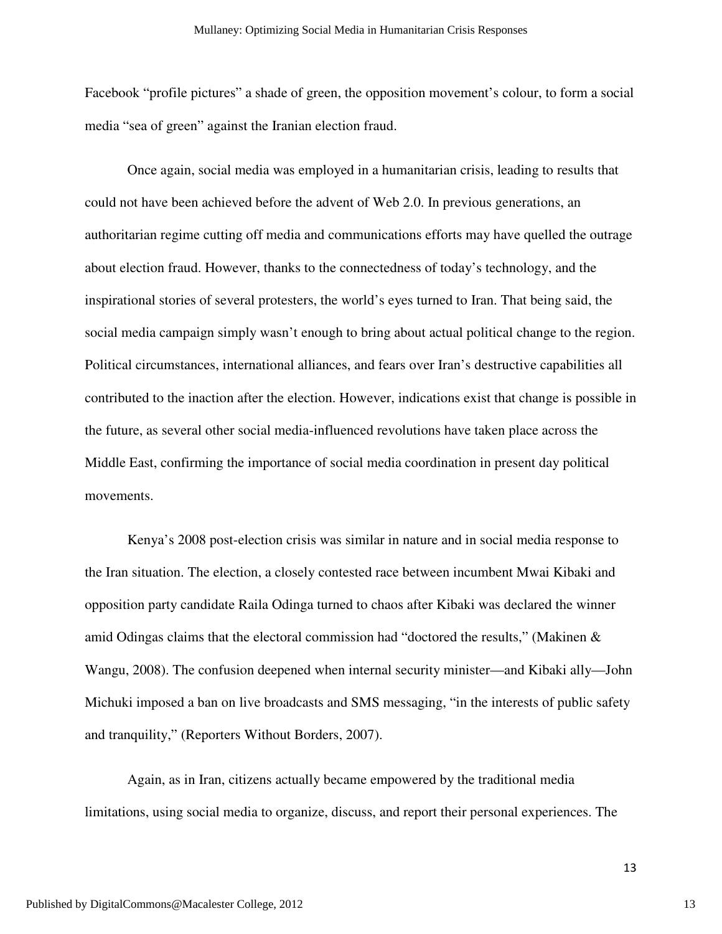Facebook "profile pictures" a shade of green, the opposition movement's colour, to form a social media "sea of green" against the Iranian election fraud.

 Once again, social media was employed in a humanitarian crisis, leading to results that could not have been achieved before the advent of Web 2.0. In previous generations, an authoritarian regime cutting off media and communications efforts may have quelled the outrage about election fraud. However, thanks to the connectedness of today's technology, and the inspirational stories of several protesters, the world's eyes turned to Iran. That being said, the social media campaign simply wasn't enough to bring about actual political change to the region. Political circumstances, international alliances, and fears over Iran's destructive capabilities all contributed to the inaction after the election. However, indications exist that change is possible in the future, as several other social media-influenced revolutions have taken place across the Middle East, confirming the importance of social media coordination in present day political movements.

 Kenya's 2008 post-election crisis was similar in nature and in social media response to the Iran situation. The election, a closely contested race between incumbent Mwai Kibaki and opposition party candidate Raila Odinga turned to chaos after Kibaki was declared the winner amid Odingas claims that the electoral commission had "doctored the results," (Makinen & Wangu, 2008). The confusion deepened when internal security minister—and Kibaki ally—John Michuki imposed a ban on live broadcasts and SMS messaging, "in the interests of public safety and tranquility," (Reporters Without Borders, 2007).

Again, as in Iran, citizens actually became empowered by the traditional media limitations, using social media to organize, discuss, and report their personal experiences. The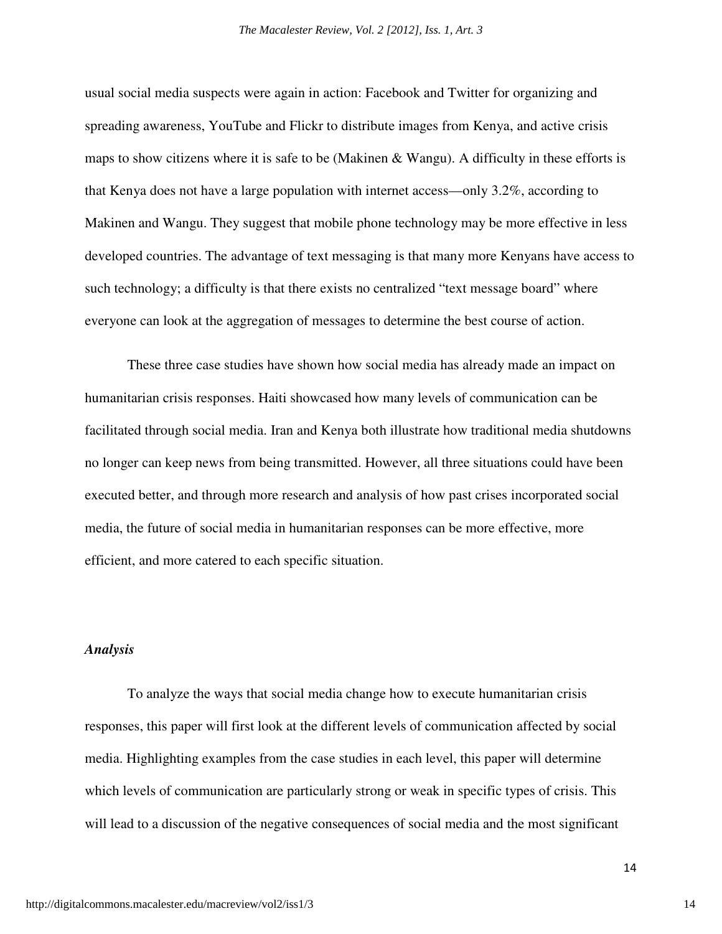usual social media suspects were again in action: Facebook and Twitter for organizing and spreading awareness, YouTube and Flickr to distribute images from Kenya, and active crisis maps to show citizens where it is safe to be (Makinen & Wangu). A difficulty in these efforts is that Kenya does not have a large population with internet access—only 3.2%, according to Makinen and Wangu. They suggest that mobile phone technology may be more effective in less developed countries. The advantage of text messaging is that many more Kenyans have access to such technology; a difficulty is that there exists no centralized "text message board" where everyone can look at the aggregation of messages to determine the best course of action.

 These three case studies have shown how social media has already made an impact on humanitarian crisis responses. Haiti showcased how many levels of communication can be facilitated through social media. Iran and Kenya both illustrate how traditional media shutdowns no longer can keep news from being transmitted. However, all three situations could have been executed better, and through more research and analysis of how past crises incorporated social media, the future of social media in humanitarian responses can be more effective, more efficient, and more catered to each specific situation.

#### *Analysis*

 To analyze the ways that social media change how to execute humanitarian crisis responses, this paper will first look at the different levels of communication affected by social media. Highlighting examples from the case studies in each level, this paper will determine which levels of communication are particularly strong or weak in specific types of crisis. This will lead to a discussion of the negative consequences of social media and the most significant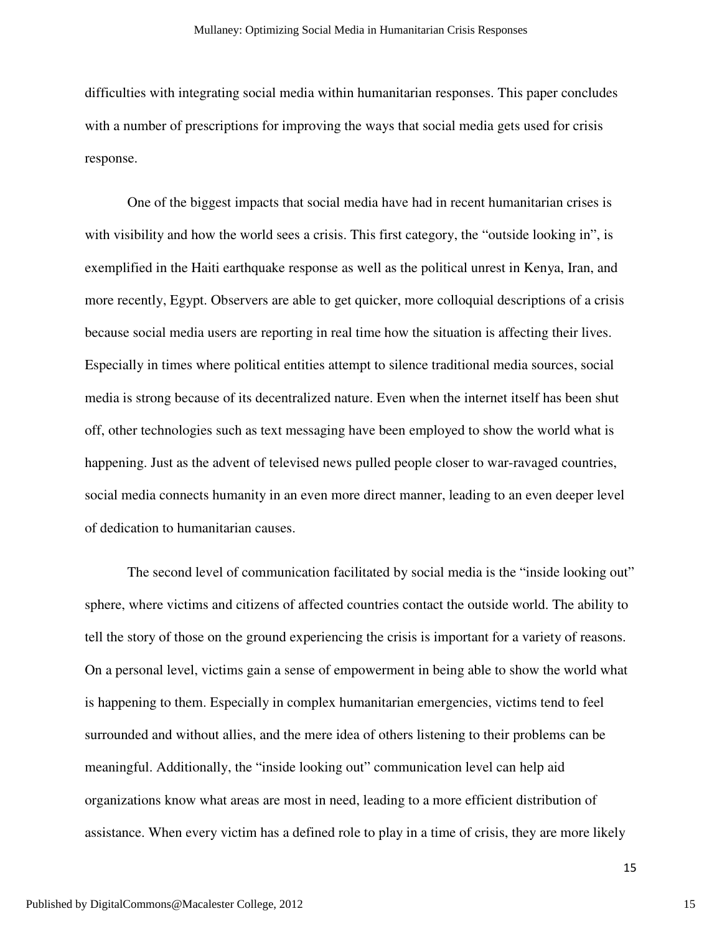difficulties with integrating social media within humanitarian responses. This paper concludes with a number of prescriptions for improving the ways that social media gets used for crisis response.

 One of the biggest impacts that social media have had in recent humanitarian crises is with visibility and how the world sees a crisis. This first category, the "outside looking in", is exemplified in the Haiti earthquake response as well as the political unrest in Kenya, Iran, and more recently, Egypt. Observers are able to get quicker, more colloquial descriptions of a crisis because social media users are reporting in real time how the situation is affecting their lives. Especially in times where political entities attempt to silence traditional media sources, social media is strong because of its decentralized nature. Even when the internet itself has been shut off, other technologies such as text messaging have been employed to show the world what is happening. Just as the advent of televised news pulled people closer to war-ravaged countries, social media connects humanity in an even more direct manner, leading to an even deeper level of dedication to humanitarian causes.

The second level of communication facilitated by social media is the "inside looking out" sphere, where victims and citizens of affected countries contact the outside world. The ability to tell the story of those on the ground experiencing the crisis is important for a variety of reasons. On a personal level, victims gain a sense of empowerment in being able to show the world what is happening to them. Especially in complex humanitarian emergencies, victims tend to feel surrounded and without allies, and the mere idea of others listening to their problems can be meaningful. Additionally, the "inside looking out" communication level can help aid organizations know what areas are most in need, leading to a more efficient distribution of assistance. When every victim has a defined role to play in a time of crisis, they are more likely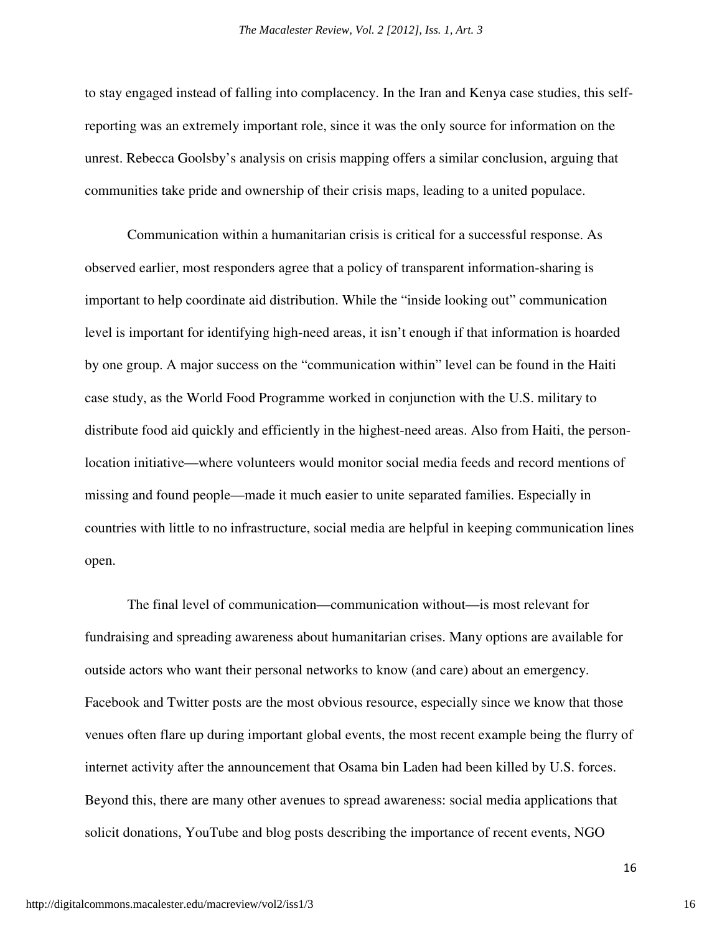to stay engaged instead of falling into complacency. In the Iran and Kenya case studies, this selfreporting was an extremely important role, since it was the only source for information on the unrest. Rebecca Goolsby's analysis on crisis mapping offers a similar conclusion, arguing that communities take pride and ownership of their crisis maps, leading to a united populace.

 Communication within a humanitarian crisis is critical for a successful response. As observed earlier, most responders agree that a policy of transparent information-sharing is important to help coordinate aid distribution. While the "inside looking out" communication level is important for identifying high-need areas, it isn't enough if that information is hoarded by one group. A major success on the "communication within" level can be found in the Haiti case study, as the World Food Programme worked in conjunction with the U.S. military to distribute food aid quickly and efficiently in the highest-need areas. Also from Haiti, the personlocation initiative—where volunteers would monitor social media feeds and record mentions of missing and found people—made it much easier to unite separated families. Especially in countries with little to no infrastructure, social media are helpful in keeping communication lines open.

 The final level of communication—communication without—is most relevant for fundraising and spreading awareness about humanitarian crises. Many options are available for outside actors who want their personal networks to know (and care) about an emergency. Facebook and Twitter posts are the most obvious resource, especially since we know that those venues often flare up during important global events, the most recent example being the flurry of internet activity after the announcement that Osama bin Laden had been killed by U.S. forces. Beyond this, there are many other avenues to spread awareness: social media applications that solicit donations, YouTube and blog posts describing the importance of recent events, NGO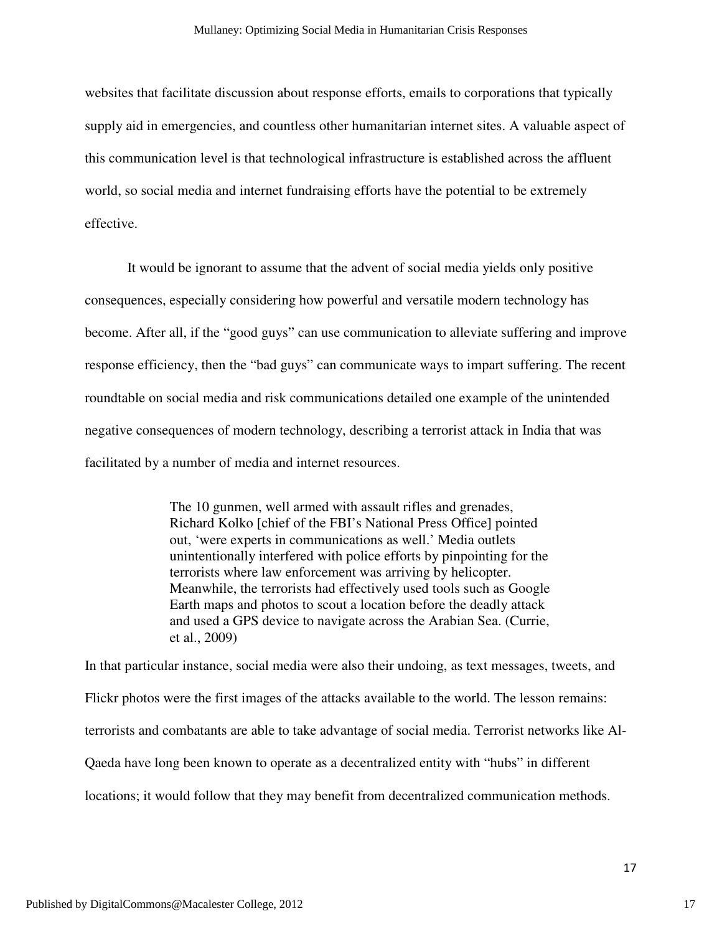websites that facilitate discussion about response efforts, emails to corporations that typically supply aid in emergencies, and countless other humanitarian internet sites. A valuable aspect of this communication level is that technological infrastructure is established across the affluent world, so social media and internet fundraising efforts have the potential to be extremely effective.

 It would be ignorant to assume that the advent of social media yields only positive consequences, especially considering how powerful and versatile modern technology has become. After all, if the "good guys" can use communication to alleviate suffering and improve response efficiency, then the "bad guys" can communicate ways to impart suffering. The recent roundtable on social media and risk communications detailed one example of the unintended negative consequences of modern technology, describing a terrorist attack in India that was facilitated by a number of media and internet resources.

> The 10 gunmen, well armed with assault rifles and grenades, Richard Kolko [chief of the FBI's National Press Office] pointed out, 'were experts in communications as well.' Media outlets unintentionally interfered with police efforts by pinpointing for the terrorists where law enforcement was arriving by helicopter. Meanwhile, the terrorists had effectively used tools such as Google Earth maps and photos to scout a location before the deadly attack and used a GPS device to navigate across the Arabian Sea. (Currie, et al., 2009)

In that particular instance, social media were also their undoing, as text messages, tweets, and Flickr photos were the first images of the attacks available to the world. The lesson remains: terrorists and combatants are able to take advantage of social media. Terrorist networks like Al-Qaeda have long been known to operate as a decentralized entity with "hubs" in different locations; it would follow that they may benefit from decentralized communication methods.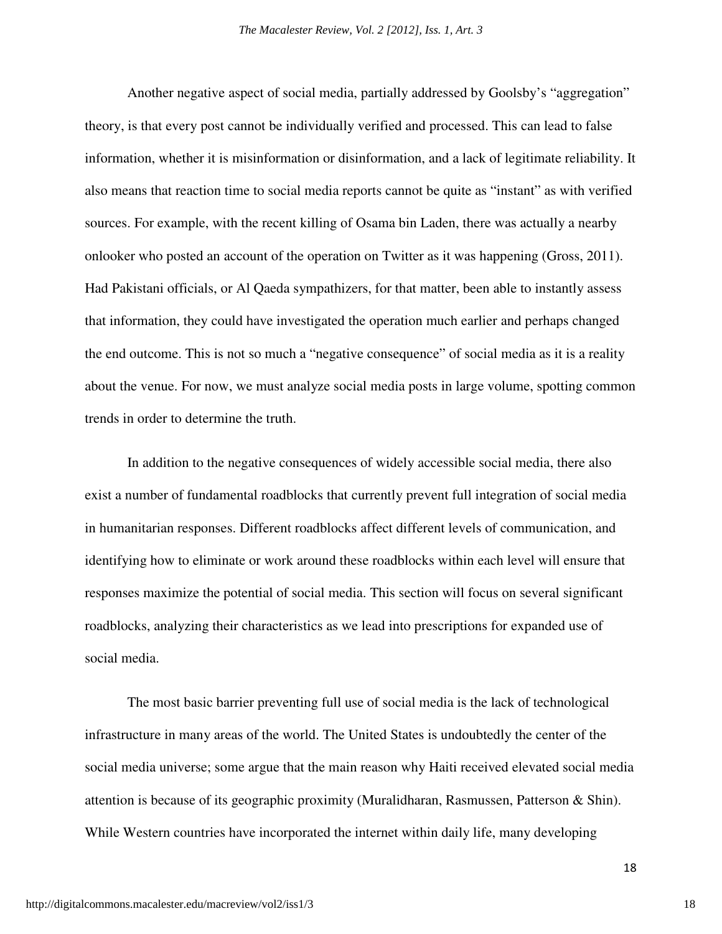Another negative aspect of social media, partially addressed by Goolsby's "aggregation" theory, is that every post cannot be individually verified and processed. This can lead to false information, whether it is misinformation or disinformation, and a lack of legitimate reliability. It also means that reaction time to social media reports cannot be quite as "instant" as with verified sources. For example, with the recent killing of Osama bin Laden, there was actually a nearby onlooker who posted an account of the operation on Twitter as it was happening (Gross, 2011). Had Pakistani officials, or Al Qaeda sympathizers, for that matter, been able to instantly assess that information, they could have investigated the operation much earlier and perhaps changed the end outcome. This is not so much a "negative consequence" of social media as it is a reality about the venue. For now, we must analyze social media posts in large volume, spotting common trends in order to determine the truth.

 In addition to the negative consequences of widely accessible social media, there also exist a number of fundamental roadblocks that currently prevent full integration of social media in humanitarian responses. Different roadblocks affect different levels of communication, and identifying how to eliminate or work around these roadblocks within each level will ensure that responses maximize the potential of social media. This section will focus on several significant roadblocks, analyzing their characteristics as we lead into prescriptions for expanded use of social media.

 The most basic barrier preventing full use of social media is the lack of technological infrastructure in many areas of the world. The United States is undoubtedly the center of the social media universe; some argue that the main reason why Haiti received elevated social media attention is because of its geographic proximity (Muralidharan, Rasmussen, Patterson & Shin). While Western countries have incorporated the internet within daily life, many developing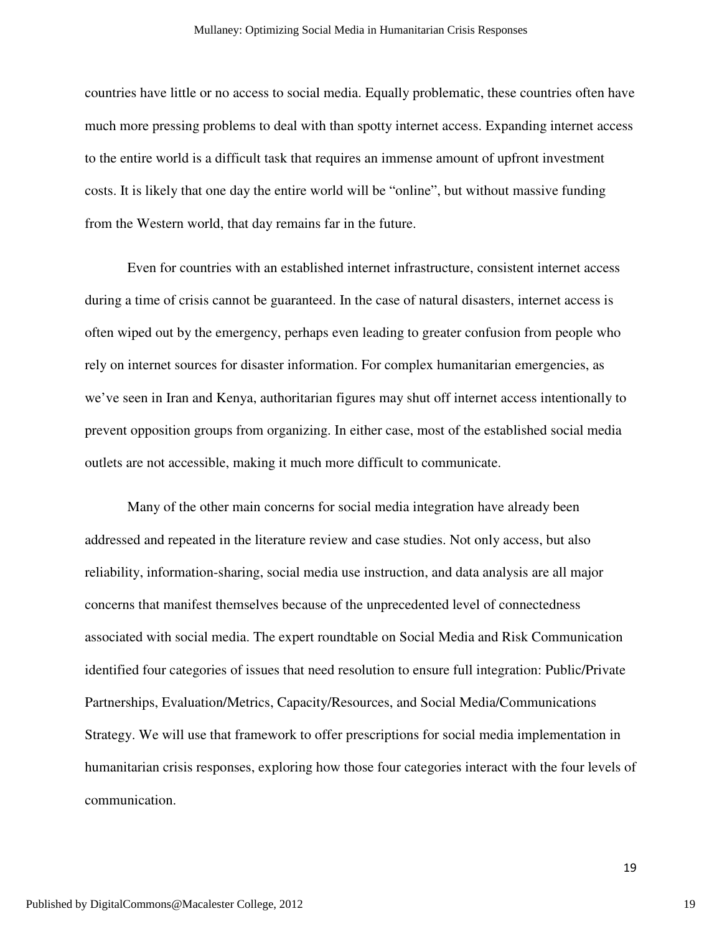countries have little or no access to social media. Equally problematic, these countries often have much more pressing problems to deal with than spotty internet access. Expanding internet access to the entire world is a difficult task that requires an immense amount of upfront investment costs. It is likely that one day the entire world will be "online", but without massive funding from the Western world, that day remains far in the future.

 Even for countries with an established internet infrastructure, consistent internet access during a time of crisis cannot be guaranteed. In the case of natural disasters, internet access is often wiped out by the emergency, perhaps even leading to greater confusion from people who rely on internet sources for disaster information. For complex humanitarian emergencies, as we've seen in Iran and Kenya, authoritarian figures may shut off internet access intentionally to prevent opposition groups from organizing. In either case, most of the established social media outlets are not accessible, making it much more difficult to communicate.

 Many of the other main concerns for social media integration have already been addressed and repeated in the literature review and case studies. Not only access, but also reliability, information-sharing, social media use instruction, and data analysis are all major concerns that manifest themselves because of the unprecedented level of connectedness associated with social media. The expert roundtable on Social Media and Risk Communication identified four categories of issues that need resolution to ensure full integration: Public/Private Partnerships, Evaluation/Metrics, Capacity/Resources, and Social Media/Communications Strategy. We will use that framework to offer prescriptions for social media implementation in humanitarian crisis responses, exploring how those four categories interact with the four levels of communication.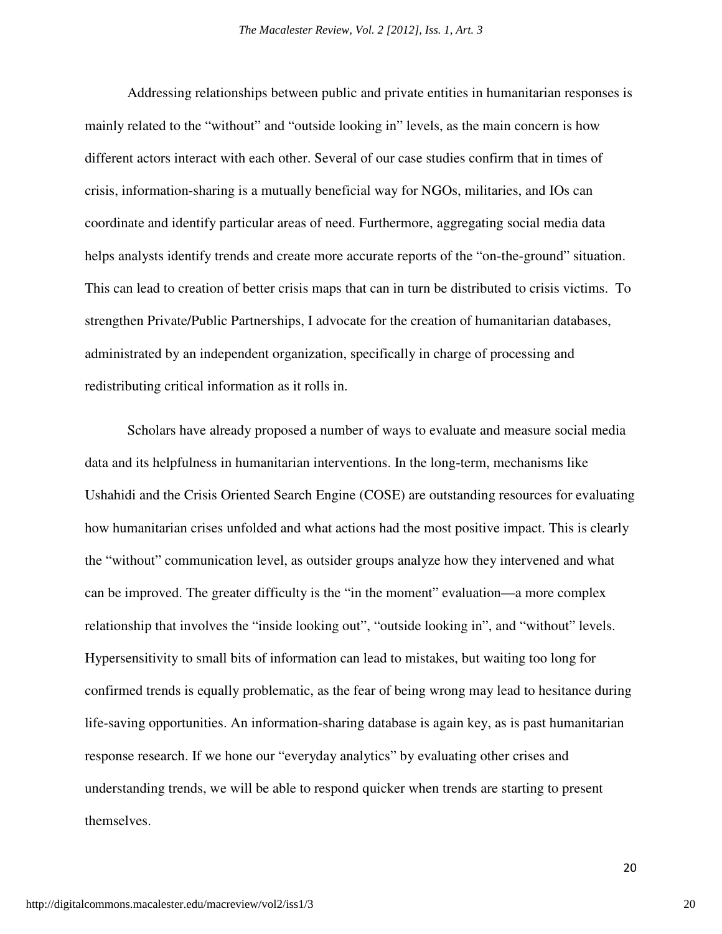Addressing relationships between public and private entities in humanitarian responses is mainly related to the "without" and "outside looking in" levels, as the main concern is how different actors interact with each other. Several of our case studies confirm that in times of crisis, information-sharing is a mutually beneficial way for NGOs, militaries, and IOs can coordinate and identify particular areas of need. Furthermore, aggregating social media data helps analysts identify trends and create more accurate reports of the "on-the-ground" situation. This can lead to creation of better crisis maps that can in turn be distributed to crisis victims. To strengthen Private/Public Partnerships, I advocate for the creation of humanitarian databases, administrated by an independent organization, specifically in charge of processing and redistributing critical information as it rolls in.

 Scholars have already proposed a number of ways to evaluate and measure social media data and its helpfulness in humanitarian interventions. In the long-term, mechanisms like Ushahidi and the Crisis Oriented Search Engine (COSE) are outstanding resources for evaluating how humanitarian crises unfolded and what actions had the most positive impact. This is clearly the "without" communication level, as outsider groups analyze how they intervened and what can be improved. The greater difficulty is the "in the moment" evaluation—a more complex relationship that involves the "inside looking out", "outside looking in", and "without" levels. Hypersensitivity to small bits of information can lead to mistakes, but waiting too long for confirmed trends is equally problematic, as the fear of being wrong may lead to hesitance during life-saving opportunities. An information-sharing database is again key, as is past humanitarian response research. If we hone our "everyday analytics" by evaluating other crises and understanding trends, we will be able to respond quicker when trends are starting to present themselves.

20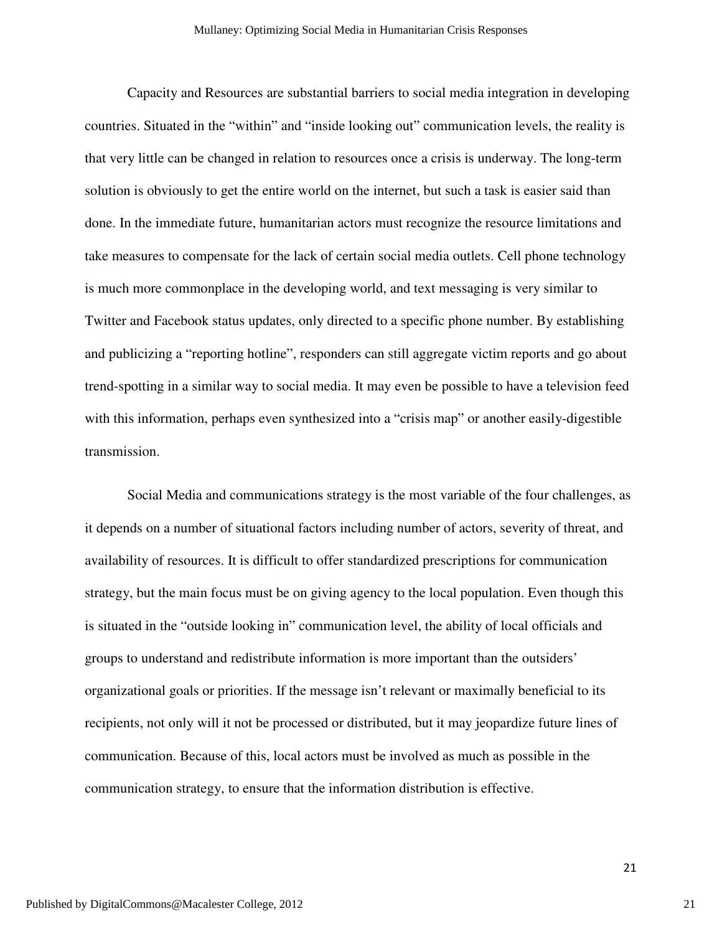Capacity and Resources are substantial barriers to social media integration in developing countries. Situated in the "within" and "inside looking out" communication levels, the reality is that very little can be changed in relation to resources once a crisis is underway. The long-term solution is obviously to get the entire world on the internet, but such a task is easier said than done. In the immediate future, humanitarian actors must recognize the resource limitations and take measures to compensate for the lack of certain social media outlets. Cell phone technology is much more commonplace in the developing world, and text messaging is very similar to Twitter and Facebook status updates, only directed to a specific phone number. By establishing and publicizing a "reporting hotline", responders can still aggregate victim reports and go about trend-spotting in a similar way to social media. It may even be possible to have a television feed with this information, perhaps even synthesized into a "crisis map" or another easily-digestible transmission.

 Social Media and communications strategy is the most variable of the four challenges, as it depends on a number of situational factors including number of actors, severity of threat, and availability of resources. It is difficult to offer standardized prescriptions for communication strategy, but the main focus must be on giving agency to the local population. Even though this is situated in the "outside looking in" communication level, the ability of local officials and groups to understand and redistribute information is more important than the outsiders' organizational goals or priorities. If the message isn't relevant or maximally beneficial to its recipients, not only will it not be processed or distributed, but it may jeopardize future lines of communication. Because of this, local actors must be involved as much as possible in the communication strategy, to ensure that the information distribution is effective.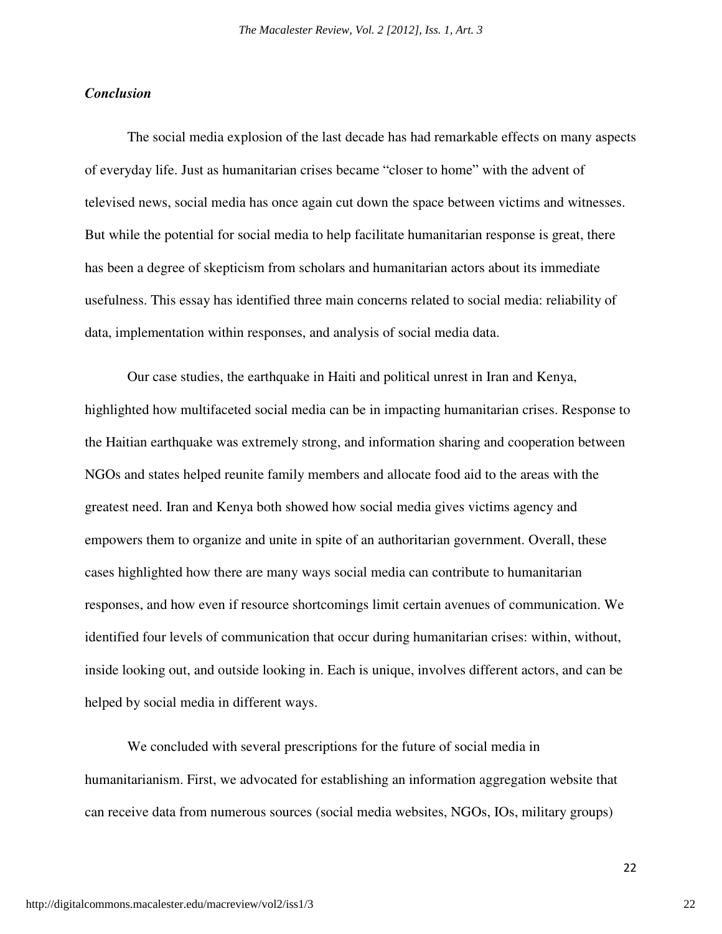#### *Conclusion*

 The social media explosion of the last decade has had remarkable effects on many aspects of everyday life. Just as humanitarian crises became "closer to home" with the advent of televised news, social media has once again cut down the space between victims and witnesses. But while the potential for social media to help facilitate humanitarian response is great, there has been a degree of skepticism from scholars and humanitarian actors about its immediate usefulness. This essay has identified three main concerns related to social media: reliability of data, implementation within responses, and analysis of social media data.

Our case studies, the earthquake in Haiti and political unrest in Iran and Kenya, highlighted how multifaceted social media can be in impacting humanitarian crises. Response to the Haitian earthquake was extremely strong, and information sharing and cooperation between NGOs and states helped reunite family members and allocate food aid to the areas with the greatest need. Iran and Kenya both showed how social media gives victims agency and empowers them to organize and unite in spite of an authoritarian government. Overall, these cases highlighted how there are many ways social media can contribute to humanitarian responses, and how even if resource shortcomings limit certain avenues of communication. We identified four levels of communication that occur during humanitarian crises: within, without, inside looking out, and outside looking in. Each is unique, involves different actors, and can be helped by social media in different ways.

We concluded with several prescriptions for the future of social media in humanitarianism. First, we advocated for establishing an information aggregation website that can receive data from numerous sources (social media websites, NGOs, IOs, military groups)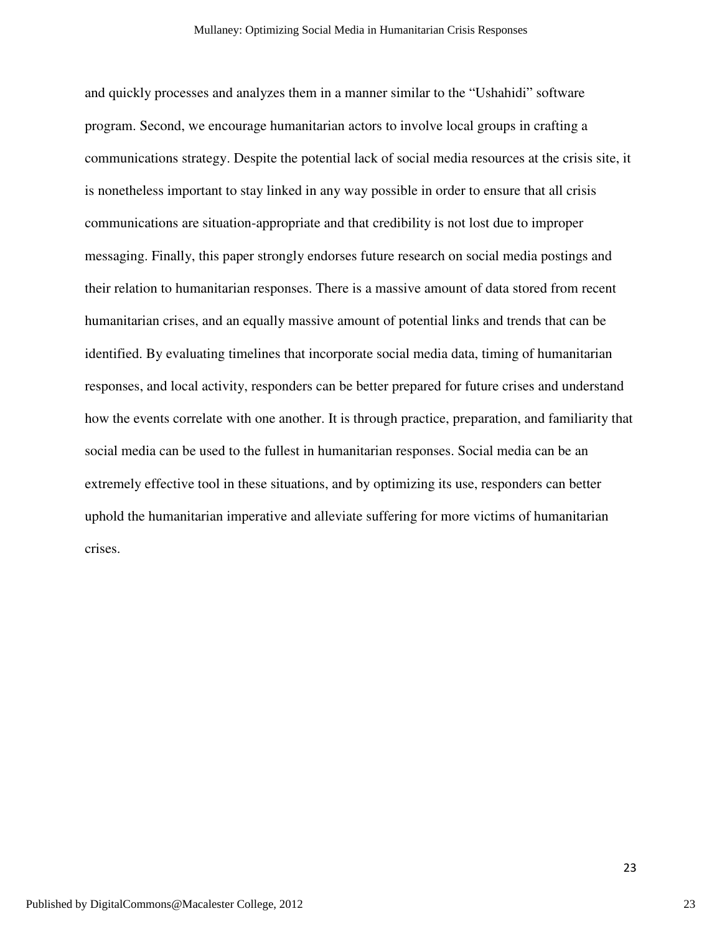and quickly processes and analyzes them in a manner similar to the "Ushahidi" software program. Second, we encourage humanitarian actors to involve local groups in crafting a communications strategy. Despite the potential lack of social media resources at the crisis site, it is nonetheless important to stay linked in any way possible in order to ensure that all crisis communications are situation-appropriate and that credibility is not lost due to improper messaging. Finally, this paper strongly endorses future research on social media postings and their relation to humanitarian responses. There is a massive amount of data stored from recent humanitarian crises, and an equally massive amount of potential links and trends that can be identified. By evaluating timelines that incorporate social media data, timing of humanitarian responses, and local activity, responders can be better prepared for future crises and understand how the events correlate with one another. It is through practice, preparation, and familiarity that social media can be used to the fullest in humanitarian responses. Social media can be an extremely effective tool in these situations, and by optimizing its use, responders can better uphold the humanitarian imperative and alleviate suffering for more victims of humanitarian crises.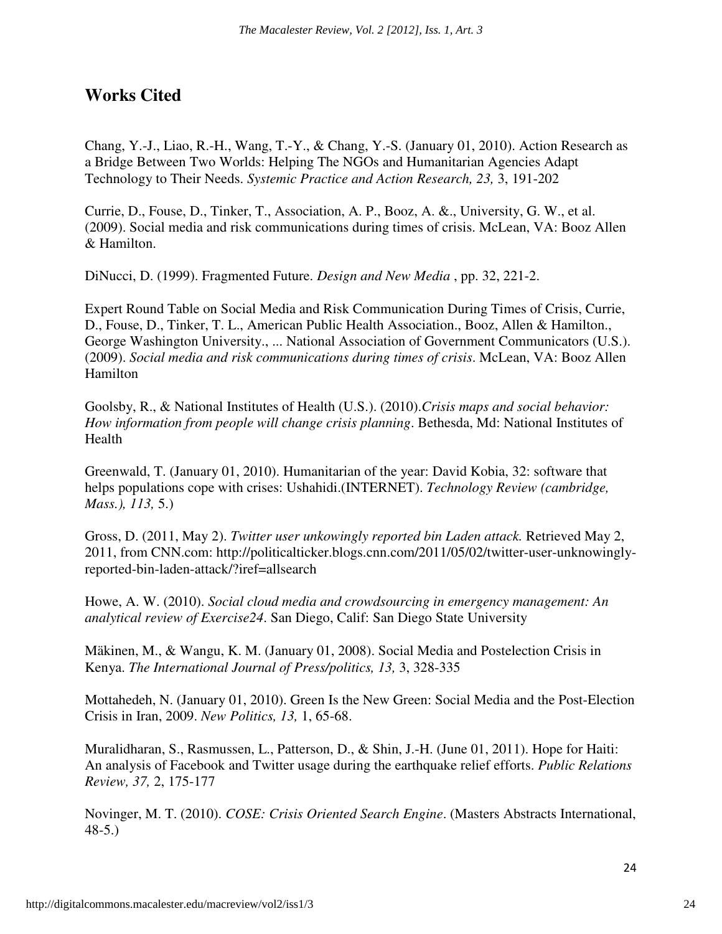### **Works Cited**

Chang, Y.-J., Liao, R.-H., Wang, T.-Y., & Chang, Y.-S. (January 01, 2010). Action Research as a Bridge Between Two Worlds: Helping The NGOs and Humanitarian Agencies Adapt Technology to Their Needs. *Systemic Practice and Action Research, 23,* 3, 191-202

Currie, D., Fouse, D., Tinker, T., Association, A. P., Booz, A. &., University, G. W., et al. (2009). Social media and risk communications during times of crisis. McLean, VA: Booz Allen & Hamilton.

DiNucci, D. (1999). Fragmented Future. *Design and New Media* , pp. 32, 221-2.

Expert Round Table on Social Media and Risk Communication During Times of Crisis, Currie, D., Fouse, D., Tinker, T. L., American Public Health Association., Booz, Allen & Hamilton., George Washington University., ... National Association of Government Communicators (U.S.). (2009). *Social media and risk communications during times of crisis*. McLean, VA: Booz Allen Hamilton

Goolsby, R., & National Institutes of Health (U.S.). (2010).*Crisis maps and social behavior: How information from people will change crisis planning*. Bethesda, Md: National Institutes of Health

Greenwald, T. (January 01, 2010). Humanitarian of the year: David Kobia, 32: software that helps populations cope with crises: Ushahidi.(INTERNET). *Technology Review (cambridge, Mass.), 113,* 5.)

Gross, D. (2011, May 2). *Twitter user unkowingly reported bin Laden attack.* Retrieved May 2, 2011, from CNN.com: http://politicalticker.blogs.cnn.com/2011/05/02/twitter-user-unknowinglyreported-bin-laden-attack/?iref=allsearch

Howe, A. W. (2010). *Social cloud media and crowdsourcing in emergency management: An analytical review of Exercise24*. San Diego, Calif: San Diego State University

Mäkinen, M., & Wangu, K. M. (January 01, 2008). Social Media and Postelection Crisis in Kenya. *The International Journal of Press/politics, 13,* 3, 328-335

Mottahedeh, N. (January 01, 2010). Green Is the New Green: Social Media and the Post-Election Crisis in Iran, 2009. *New Politics, 13,* 1, 65-68.

Muralidharan, S., Rasmussen, L., Patterson, D., & Shin, J.-H. (June 01, 2011). Hope for Haiti: An analysis of Facebook and Twitter usage during the earthquake relief efforts. *Public Relations Review, 37,* 2, 175-177

Novinger, M. T. (2010). *COSE: Crisis Oriented Search Engine*. (Masters Abstracts International, 48-5.)